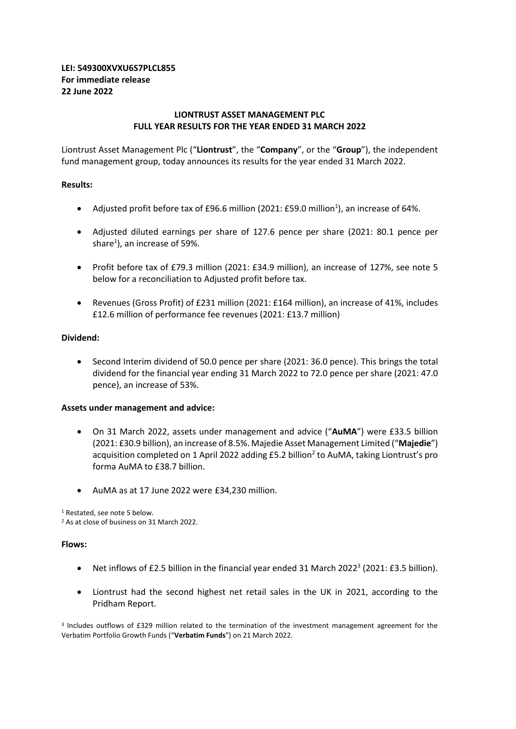# **LEI: 549300XVXU6S7PLCL855 For immediate release 22 June 2022**

## **LIONTRUST ASSET MANAGEMENT PLC FULL YEAR RESULTS FOR THE YEAR ENDED 31 MARCH 2022**

Liontrust Asset Management Plc ("**Liontrust**", the "**Company**", or the "**Group**"), the independent fund management group, today announces its results for the year ended 31 March 2022.

# **Results:**

- Adjusted profit before tax of £96.6 million (2021: £59.0 million<sup>1</sup>), an increase of 64%.
- Adjusted diluted earnings per share of 127.6 pence per share (2021: 80.1 pence per share<sup>1</sup>), an increase of 59%.
- Profit before tax of £79.3 million (2021: £34.9 million), an increase of 127%, see note 5 below for a reconciliation to Adjusted profit before tax.
- Revenues (Gross Profit) of £231 million (2021: £164 million), an increase of 41%, includes £12.6 million of performance fee revenues (2021: £13.7 million)

## **Dividend:**

• Second Interim dividend of 50.0 pence per share (2021: 36.0 pence). This brings the total dividend for the financial year ending 31 March 2022 to 72.0 pence per share (2021: 47.0 pence), an increase of 53%.

### **Assets under management and advice:**

- On 31 March 2022, assets under management and advice ("**AuMA**") were £33.5 billion (2021: £30.9 billion), an increase of 8.5%. Majedie Asset Management Limited ("**Majedie**") acquisition completed on 1 April 2022 adding £5.2 billion<sup>2</sup> to AuMA, taking Liontrust's pro forma AuMA to £38.7 billion.
- AuMA as at 17 June 2022 were £34,230 million.

<sup>1</sup> Restated, see note 5 below.

<sup>2</sup> As at close of business on 31 March 2022.

### **Flows:**

- Net inflows of £2.5 billion in the financial year ended 31 March 2022<sup>3</sup> (2021: £3.5 billion).
- Liontrust had the second highest net retail sales in the UK in 2021, according to the Pridham Report.

3 Includes outflows of £329 million related to the termination of the investment management agreement for the Verbatim Portfolio Growth Funds ("**Verbatim Funds**") on 21 March 2022.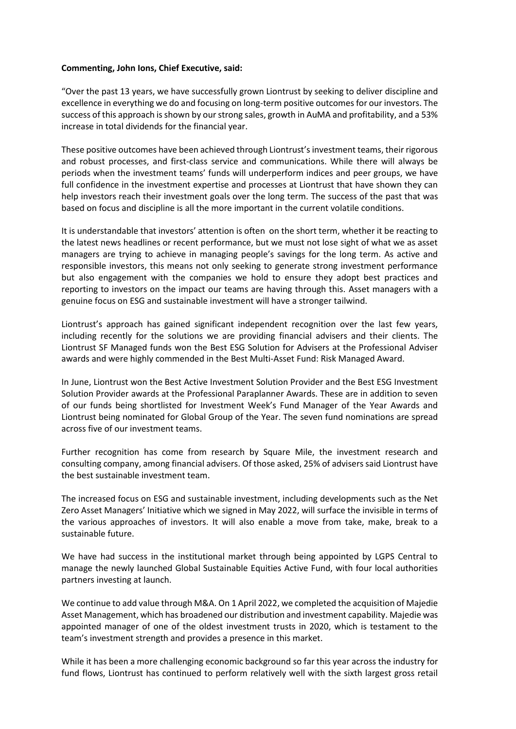## **Commenting, John Ions, Chief Executive, said:**

"Over the past 13 years, we have successfully grown Liontrust by seeking to deliver discipline and excellence in everything we do and focusing on long-term positive outcomes for our investors. The success of this approach is shown by our strong sales, growth in AuMA and profitability, and a 53% increase in total dividends for the financial year.

These positive outcomes have been achieved through Liontrust's investment teams, their rigorous and robust processes, and first-class service and communications. While there will always be periods when the investment teams' funds will underperform indices and peer groups, we have full confidence in the investment expertise and processes at Liontrust that have shown they can help investors reach their investment goals over the long term. The success of the past that was based on focus and discipline is all the more important in the current volatile conditions.

It is understandable that investors' attention is often on the short term, whether it be reacting to the latest news headlines or recent performance, but we must not lose sight of what we as asset managers are trying to achieve in managing people's savings for the long term. As active and responsible investors, this means not only seeking to generate strong investment performance but also engagement with the companies we hold to ensure they adopt best practices and reporting to investors on the impact our teams are having through this. Asset managers with a genuine focus on ESG and sustainable investment will have a stronger tailwind.

Liontrust's approach has gained significant independent recognition over the last few years, including recently for the solutions we are providing financial advisers and their clients. The Liontrust SF Managed funds won the Best ESG Solution for Advisers at the Professional Adviser awards and were highly commended in the Best Multi-Asset Fund: Risk Managed Award.

In June, Liontrust won the Best Active Investment Solution Provider and the Best ESG Investment Solution Provider awards at the Professional Paraplanner Awards. These are in addition to seven of our funds being shortlisted for Investment Week's Fund Manager of the Year Awards and Liontrust being nominated for Global Group of the Year. The seven fund nominations are spread across five of our investment teams.

Further recognition has come from research by Square Mile, the investment research and consulting company, among financial advisers. Of those asked, 25% of advisers said Liontrust have the best sustainable investment team.

The increased focus on ESG and sustainable investment, including developments such as the Net Zero Asset Managers' Initiative which we signed in May 2022, will surface the invisible in terms of the various approaches of investors. It will also enable a move from take, make, break to a sustainable future.

We have had success in the institutional market through being appointed by LGPS Central to manage the newly launched Global Sustainable Equities Active Fund, with four local authorities partners investing at launch.

We continue to add value through M&A. On 1 April 2022, we completed the acquisition of Majedie Asset Management, which has broadened our distribution and investment capability. Majedie was appointed manager of one of the oldest investment trusts in 2020, which is testament to the team's investment strength and provides a presence in this market.

While it has been a more challenging economic background so far this year across the industry for fund flows, Liontrust has continued to perform relatively well with the sixth largest gross retail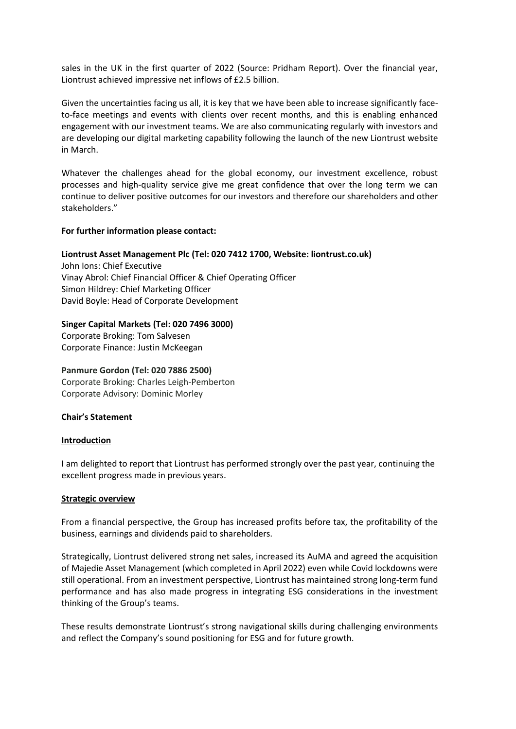sales in the UK in the first quarter of 2022 (Source: Pridham Report). Over the financial year, Liontrust achieved impressive net inflows of £2.5 billion.

Given the uncertainties facing us all, it is key that we have been able to increase significantly faceto-face meetings and events with clients over recent months, and this is enabling enhanced engagement with our investment teams. We are also communicating regularly with investors and are developing our digital marketing capability following the launch of the new Liontrust website in March.

Whatever the challenges ahead for the global economy, our investment excellence, robust processes and high-quality service give me great confidence that over the long term we can continue to deliver positive outcomes for our investors and therefore our shareholders and other stakeholders."

## **For further information please contact:**

### **Liontrust Asset Management Plc (Tel: 020 7412 1700, Website: liontrust.co.uk)**

John Ions: Chief Executive Vinay Abrol: Chief Financial Officer & Chief Operating Officer Simon Hildrey: Chief Marketing Officer David Boyle: Head of Corporate Development

## **Singer Capital Markets (Tel: 020 7496 3000)**

Corporate Broking: Tom Salvesen Corporate Finance: Justin McKeegan

### **Panmure Gordon (Tel: 020 7886 2500)**

Corporate Broking: Charles Leigh-Pemberton Corporate Advisory: Dominic Morley

### **Chair's Statement**

### **Introduction**

I am delighted to report that Liontrust has performed strongly over the past year, continuing the excellent progress made in previous years.

### **Strategic overview**

From a financial perspective, the Group has increased profits before tax, the profitability of the business, earnings and dividends paid to shareholders.

Strategically, Liontrust delivered strong net sales, increased its AuMA and agreed the acquisition of Majedie Asset Management (which completed in April 2022) even while Covid lockdowns were still operational. From an investment perspective, Liontrust has maintained strong long-term fund performance and has also made progress in integrating ESG considerations in the investment thinking of the Group's teams.

These results demonstrate Liontrust's strong navigational skills during challenging environments and reflect the Company's sound positioning for ESG and for future growth.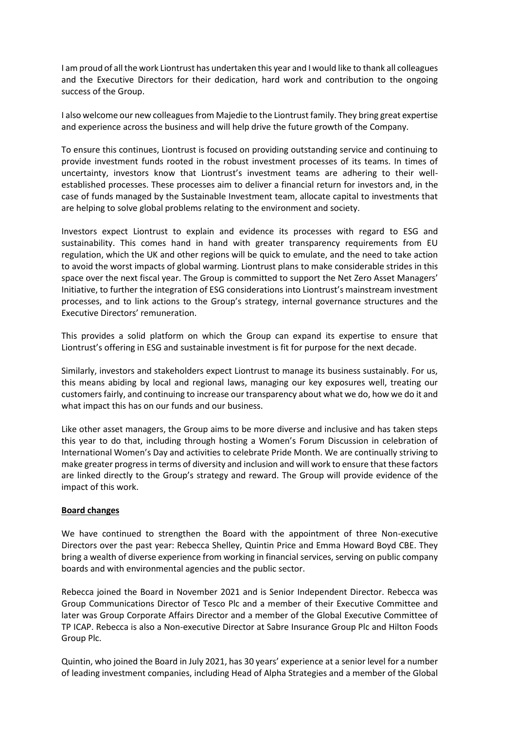I am proud of all the work Liontrust has undertaken this year and I would like to thank all colleagues and the Executive Directors for their dedication, hard work and contribution to the ongoing success of the Group.

I also welcome our new colleagues from Majedie to the Liontrust family. They bring great expertise and experience across the business and will help drive the future growth of the Company.

To ensure this continues, Liontrust is focused on providing outstanding service and continuing to provide investment funds rooted in the robust investment processes of its teams. In times of uncertainty, investors know that Liontrust's investment teams are adhering to their wellestablished processes. These processes aim to deliver a financial return for investors and, in the case of funds managed by the Sustainable Investment team, allocate capital to investments that are helping to solve global problems relating to the environment and society.

Investors expect Liontrust to explain and evidence its processes with regard to ESG and sustainability. This comes hand in hand with greater transparency requirements from EU regulation, which the UK and other regions will be quick to emulate, and the need to take action to avoid the worst impacts of global warming. Liontrust plans to make considerable strides in this space over the next fiscal year. The Group is committed to support the Net Zero Asset Managers' Initiative, to further the integration of ESG considerations into Liontrust's mainstream investment processes, and to link actions to the Group's strategy, internal governance structures and the Executive Directors' remuneration.

This provides a solid platform on which the Group can expand its expertise to ensure that Liontrust's offering in ESG and sustainable investment is fit for purpose for the next decade.

Similarly, investors and stakeholders expect Liontrust to manage its business sustainably. For us, this means abiding by local and regional laws, managing our key exposures well, treating our customers fairly, and continuing to increase our transparency about what we do, how we do it and what impact this has on our funds and our business.

Like other asset managers, the Group aims to be more diverse and inclusive and has taken steps this year to do that, including through hosting a Women's Forum Discussion in celebration of International Women's Day and activities to celebrate Pride Month. We are continually striving to make greater progress in terms of diversity and inclusion and will work to ensure that these factors are linked directly to the Group's strategy and reward. The Group will provide evidence of the impact of this work.

# **Board changes**

We have continued to strengthen the Board with the appointment of three Non-executive Directors over the past year: Rebecca Shelley, Quintin Price and Emma Howard Boyd CBE. They bring a wealth of diverse experience from working in financial services, serving on public company boards and with environmental agencies and the public sector.

Rebecca joined the Board in November 2021 and is Senior Independent Director. Rebecca was Group Communications Director of Tesco Plc and a member of their Executive Committee and later was Group Corporate Affairs Director and a member of the Global Executive Committee of TP ICAP. Rebecca is also a Non-executive Director at Sabre Insurance Group Plc and Hilton Foods Group Plc.

Quintin, who joined the Board in July 2021, has 30 years' experience at a senior level for a number of leading investment companies, including Head of Alpha Strategies and a member of the Global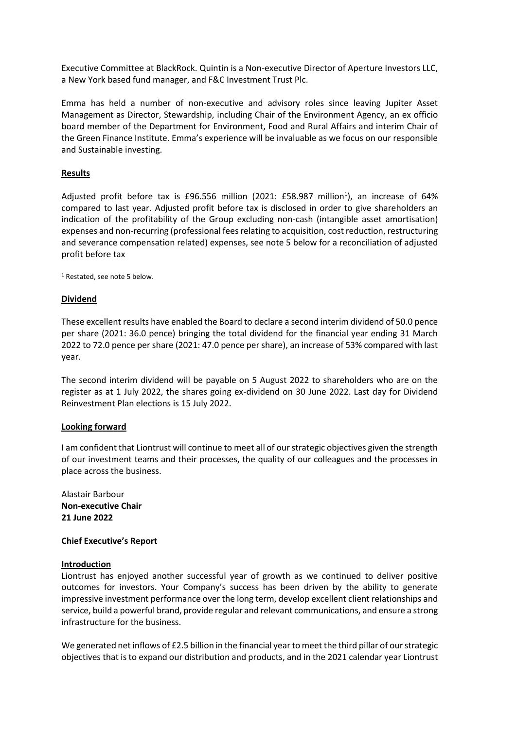Executive Committee at BlackRock. Quintin is a Non-executive Director of Aperture Investors LLC, a New York based fund manager, and F&C Investment Trust Plc.

Emma has held a number of non-executive and advisory roles since leaving Jupiter Asset Management as Director, Stewardship, including Chair of the Environment Agency, an ex officio board member of the Department for Environment, Food and Rural Affairs and interim Chair of the Green Finance Institute. Emma's experience will be invaluable as we focus on our responsible and Sustainable investing.

## **Results**

Adjusted profit before tax is £96.556 million (2021: £58.987 million<sup>1</sup>), an increase of 64% compared to last year. Adjusted profit before tax is disclosed in order to give shareholders an indication of the profitability of the Group excluding non-cash (intangible asset amortisation) expenses and non-recurring (professional fees relating to acquisition, cost reduction, restructuring and severance compensation related) expenses, see note 5 below for a reconciliation of adjusted profit before tax

<sup>1</sup> Restated, see note 5 below.

## **Dividend**

These excellent results have enabled the Board to declare a second interim dividend of 50.0 pence per share (2021: 36.0 pence) bringing the total dividend for the financial year ending 31 March 2022 to 72.0 pence per share (2021: 47.0 pence per share), an increase of 53% compared with last year.

The second interim dividend will be payable on 5 August 2022 to shareholders who are on the register as at 1 July 2022, the shares going ex-dividend on 30 June 2022. Last day for Dividend Reinvestment Plan elections is 15 July 2022.

# **Looking forward**

I am confident that Liontrust will continue to meet all of our strategic objectives given the strength of our investment teams and their processes, the quality of our colleagues and the processes in place across the business.

Alastair Barbour **Non-executive Chair 21 June 2022**

### **Chief Executive's Report**

### **Introduction**

Liontrust has enjoyed another successful year of growth as we continued to deliver positive outcomes for investors. Your Company's success has been driven by the ability to generate impressive investment performance over the long term, develop excellent client relationships and service, build a powerful brand, provide regular and relevant communications, and ensure a strong infrastructure for the business.

We generated net inflows of £2.5 billion in the financial year to meet the third pillar of our strategic objectives that is to expand our distribution and products, and in the 2021 calendar year Liontrust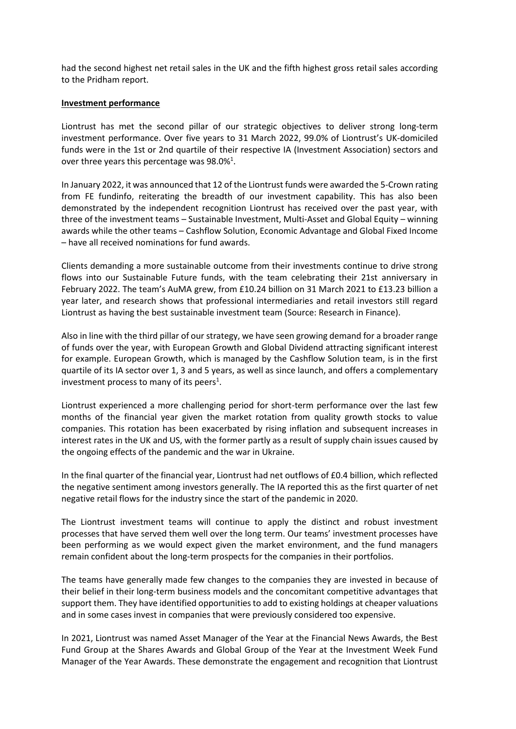had the second highest net retail sales in the UK and the fifth highest gross retail sales according to the Pridham report.

### **Investment performance**

Liontrust has met the second pillar of our strategic objectives to deliver strong long-term investment performance. Over five years to 31 March 2022, 99.0% of Liontrust's UK-domiciled funds were in the 1st or 2nd quartile of their respective IA (Investment Association) sectors and over three years this percentage was 98.0%<sup>1</sup>.

In January 2022, it was announced that 12 of the Liontrust funds were awarded the 5-Crown rating from FE fundinfo, reiterating the breadth of our investment capability. This has also been demonstrated by the independent recognition Liontrust has received over the past year, with three of the investment teams – Sustainable Investment, Multi-Asset and Global Equity – winning awards while the other teams – Cashflow Solution, Economic Advantage and Global Fixed Income – have all received nominations for fund awards.

Clients demanding a more sustainable outcome from their investments continue to drive strong flows into our Sustainable Future funds, with the team celebrating their 21st anniversary in February 2022. The team's AuMA grew, from £10.24 billion on 31 March 2021 to £13.23 billion a year later, and research shows that professional intermediaries and retail investors still regard Liontrust as having the best sustainable investment team (Source: Research in Finance).

Also in line with the third pillar of our strategy, we have seen growing demand for a broader range of funds over the year, with European Growth and Global Dividend attracting significant interest for example. European Growth, which is managed by the Cashflow Solution team, is in the first quartile of its IA sector over 1, 3 and 5 years, as well as since launch, and offers a complementary investment process to many of its peers<sup>1</sup>.

Liontrust experienced a more challenging period for short-term performance over the last few months of the financial year given the market rotation from quality growth stocks to value companies. This rotation has been exacerbated by rising inflation and subsequent increases in interest rates in the UK and US, with the former partly as a result of supply chain issues caused by the ongoing effects of the pandemic and the war in Ukraine.

In the final quarter of the financial year, Liontrust had net outflows of £0.4 billion, which reflected the negative sentiment among investors generally. The IA reported this as the first quarter of net negative retail flows for the industry since the start of the pandemic in 2020.

The Liontrust investment teams will continue to apply the distinct and robust investment processes that have served them well over the long term. Our teams' investment processes have been performing as we would expect given the market environment, and the fund managers remain confident about the long-term prospects for the companies in their portfolios.

The teams have generally made few changes to the companies they are invested in because of their belief in their long-term business models and the concomitant competitive advantages that support them. They have identified opportunities to add to existing holdings at cheaper valuations and in some cases invest in companies that were previously considered too expensive.

In 2021, Liontrust was named Asset Manager of the Year at the Financial News Awards, the Best Fund Group at the Shares Awards and Global Group of the Year at the Investment Week Fund Manager of the Year Awards. These demonstrate the engagement and recognition that Liontrust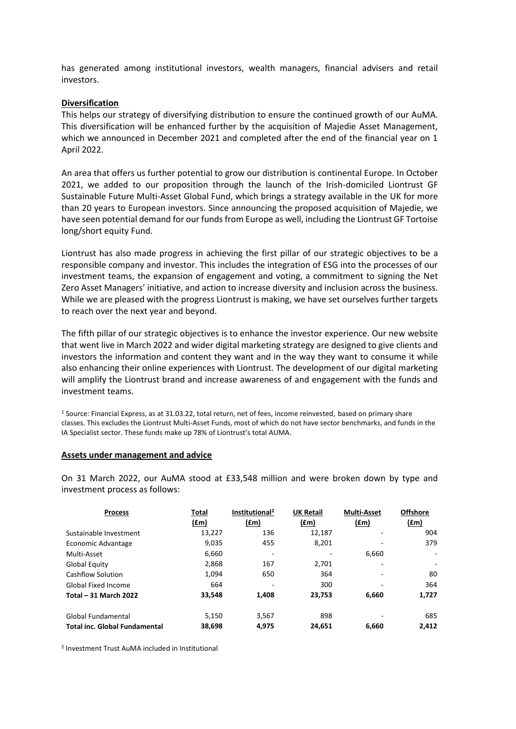has generated among institutional investors, wealth managers, financial advisers and retail investors.

## **Diversification**

This helps our strategy of diversifying distribution to ensure the continued growth of our AuMA. This diversification will be enhanced further by the acquisition of Majedie Asset Management, which we announced in December 2021 and completed after the end of the financial year on 1 April 2022.

An area that offers us further potential to grow our distribution is continental Europe. In October 2021, we added to our proposition through the launch of the Irish-domiciled Liontrust GF Sustainable Future Multi-Asset Global Fund, which brings a strategy available in the UK for more than 20 years to European investors. Since announcing the proposed acquisition of Majedie, we have seen potential demand for our funds from Europe as well, including the Liontrust GF Tortoise long/short equity Fund.

Liontrust has also made progress in achieving the first pillar of our strategic objectives to be a responsible company and investor. This includes the integration of ESG into the processes of our investment teams, the expansion of engagement and voting, a commitment to signing the Net Zero Asset Managers' initiative, and action to increase diversity and inclusion across the business. While we are pleased with the progress Liontrust is making, we have set ourselves further targets to reach over the next year and beyond.

The fifth pillar of our strategic objectives is to enhance the investor experience. Our new website that went live in March 2022 and wider digital marketing strategy are designed to give clients and investors the information and content they want and in the way they want to consume it while also enhancing their online experiences with Liontrust. The development of our digital marketing will amplify the Liontrust brand and increase awareness of and engagement with the funds and investment teams.

<sup>1</sup> Source: Financial Express, as at 31.03.22, total return, net of fees, income reinvested, based on primary share classes. This excludes the Liontrust Multi-Asset Funds, most of which do not have sector benchmarks, and funds in the IA Specialist sector. These funds make up 78% of Liontrust's total AUMA.

### **Assets under management and advice**

On 31 March 2022, our AuMA stood at £33,548 million and were broken down by type and investment process as follows:

| <b>Process</b>                       | Total  | Institutional <sup>2</sup> | <b>UK Retail</b> | <b>Multi-Asset</b> | <b>Offshore</b> |
|--------------------------------------|--------|----------------------------|------------------|--------------------|-----------------|
|                                      | (£m)   | (fm)                       | (fm)             | f(m)               | (fm)            |
| Sustainable Investment               | 13,227 | 136                        | 12,187           |                    | 904             |
| Economic Advantage                   | 9,035  | 455                        | 8,201            |                    | 379             |
| Multi-Asset                          | 6,660  |                            |                  | 6,660              | $\sim$          |
| Global Equity                        | 2,868  | 167                        | 2,701            | ٠                  | ۰               |
| Cashflow Solution                    | 1,094  | 650                        | 364              |                    | 80              |
| Global Fixed Income                  | 664    |                            | 300              |                    | 364             |
| <b>Total - 31 March 2022</b>         | 33,548 | 1,408                      | 23,753           | 6,660              | 1,727           |
| Global Fundamental                   | 5,150  | 3,567                      | 898              |                    | 685             |
| <b>Total inc. Global Fundamental</b> | 38,698 | 4,975                      | 24.651           | 6.660              | 2.412           |

2 Investment Trust AuMA included in Institutional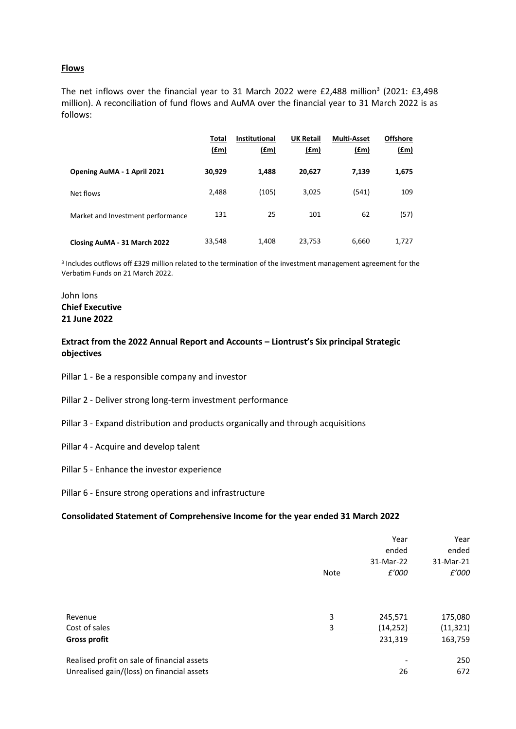## **Flows**

The net inflows over the financial year to 31 March 2022 were £2,488 million<sup>3</sup> (2021: £3,498 million). A reconciliation of fund flows and AuMA over the financial year to 31 March 2022 is as follows:

|                                   | <b>Total</b><br><u>(£m)</u> | <b>Institutional</b><br><u>(£m)</u> | <b>UK Retail</b><br>(f.m) | <b>Multi-Asset</b><br>(f.m) | <b>Offshore</b><br><u>(£m)</u> |
|-----------------------------------|-----------------------------|-------------------------------------|---------------------------|-----------------------------|--------------------------------|
| Opening AuMA - 1 April 2021       | 30,929                      | 1,488                               | 20,627                    | 7,139                       | 1,675                          |
| Net flows                         | 2,488                       | (105)                               | 3,025                     | (541)                       | 109                            |
| Market and Investment performance | 131                         | 25                                  | 101                       | 62                          | (57)                           |
| Closing AuMA - 31 March 2022      | 33,548                      | 1,408                               | 23,753                    | 6,660                       | 1,727                          |

3 Includes outflows off £329 million related to the termination of the investment management agreement for the Verbatim Funds on 21 March 2022.

# John Ions **Chief Executive 21 June 2022**

# **Extract from the 2022 Annual Report and Accounts – Liontrust's Six principal Strategic objectives**

- Pillar 1 Be a responsible company and investor
- Pillar 2 Deliver strong long-term investment performance
- Pillar 3 Expand distribution and products organically and through acquisitions
- Pillar 4 Acquire and develop talent
- Pillar 5 Enhance the investor experience
- Pillar 6 Ensure strong operations and infrastructure

## **Consolidated Statement of Comprehensive Income for the year ended 31 March 2022**

|                                             |             | Year      | Year      |
|---------------------------------------------|-------------|-----------|-----------|
|                                             |             | ended     | ended     |
|                                             |             | 31-Mar-22 | 31-Mar-21 |
|                                             | <b>Note</b> | £'000     | £'000     |
|                                             |             |           |           |
|                                             |             |           |           |
|                                             |             |           |           |
| Revenue                                     | 3           | 245,571   | 175,080   |
| Cost of sales                               | 3           | (14, 252) | (11, 321) |
| <b>Gross profit</b>                         |             | 231,319   | 163,759   |
|                                             |             |           |           |
| Realised profit on sale of financial assets |             |           | 250       |
| Unrealised gain/(loss) on financial assets  |             | 26        | 672       |
|                                             |             |           |           |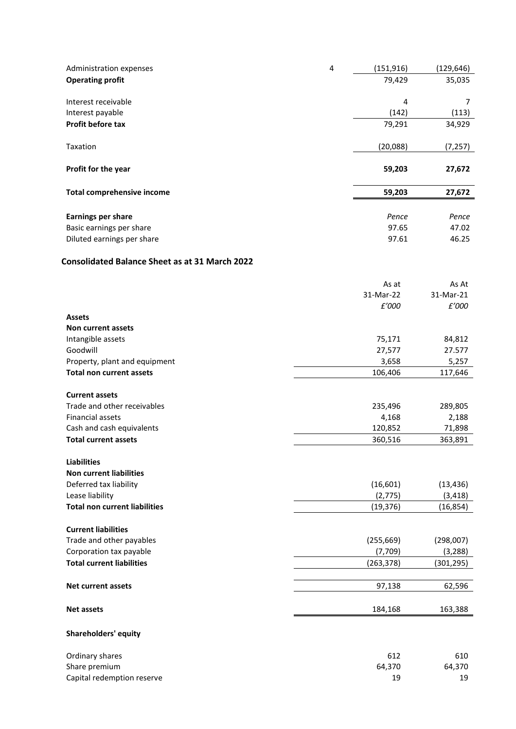| Administration expenses           | 4 | (151, 916) | (129, 646) |
|-----------------------------------|---|------------|------------|
| <b>Operating profit</b>           |   | 79,429     | 35,035     |
|                                   |   |            |            |
| Interest receivable               |   | 4          | 7          |
| Interest payable                  |   | (142)      | (113)      |
| <b>Profit before tax</b>          |   | 79,291     | 34,929     |
|                                   |   |            |            |
| Taxation                          |   | (20,088)   | (7, 257)   |
|                                   |   |            |            |
| Profit for the year               |   | 59,203     | 27,672     |
|                                   |   |            |            |
| <b>Total comprehensive income</b> |   | 59,203     | 27,672     |
|                                   |   |            |            |
| <b>Earnings per share</b>         |   | Pence      | Pence      |
| Basic earnings per share          |   | 97.65      | 47.02      |
| Diluted earnings per share        |   | 97.61      | 46.25      |

# **Consolidated Balance Sheet as at 31 March 2022**

|                                      | As at      | As At      |
|--------------------------------------|------------|------------|
|                                      | 31-Mar-22  | 31-Mar-21  |
|                                      | £'000      | £'000      |
| <b>Assets</b>                        |            |            |
| <b>Non current assets</b>            |            |            |
| Intangible assets                    | 75,171     | 84,812     |
| Goodwill                             | 27,577     | 27.577     |
| Property, plant and equipment        | 3,658      | 5,257      |
| <b>Total non current assets</b>      | 106,406    | 117,646    |
| <b>Current assets</b>                |            |            |
| Trade and other receivables          | 235,496    | 289,805    |
| <b>Financial assets</b>              | 4,168      | 2,188      |
| Cash and cash equivalents            | 120,852    | 71,898     |
| <b>Total current assets</b>          | 360,516    | 363,891    |
|                                      |            |            |
| <b>Liabilities</b>                   |            |            |
| <b>Non current liabilities</b>       |            |            |
| Deferred tax liability               | (16, 601)  | (13, 436)  |
| Lease liability                      | (2, 775)   | (3, 418)   |
| <b>Total non current liabilities</b> | (19, 376)  | (16, 854)  |
| <b>Current liabilities</b>           |            |            |
| Trade and other payables             | (255, 669) | (298,007)  |
| Corporation tax payable              | (7,709)    | (3, 288)   |
| <b>Total current liabilities</b>     | (263, 378) | (301, 295) |
|                                      |            |            |
| <b>Net current assets</b>            | 97,138     | 62,596     |
| <b>Net assets</b>                    | 184,168    | 163,388    |
| <b>Shareholders' equity</b>          |            |            |
|                                      |            |            |
| Ordinary shares                      | 612        | 610        |
| Share premium                        | 64,370     | 64,370     |
| Capital redemption reserve           | 19         | 19         |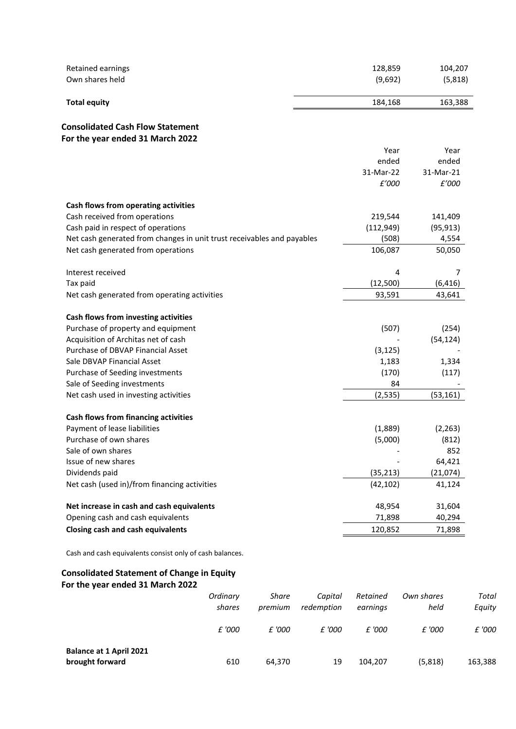| Retained earnings                                                                     |          |              |            | 128,859    | 104,207    |
|---------------------------------------------------------------------------------------|----------|--------------|------------|------------|------------|
| Own shares held                                                                       |          |              |            | (9,692)    | (5,818)    |
| <b>Total equity</b>                                                                   |          |              |            | 184,168    | 163,388    |
| <b>Consolidated Cash Flow Statement</b>                                               |          |              |            |            |            |
| For the year ended 31 March 2022                                                      |          |              |            |            |            |
|                                                                                       |          |              |            | Year       | Year       |
|                                                                                       |          |              |            | ended      | ended      |
|                                                                                       |          |              |            | 31-Mar-22  | 31-Mar-21  |
|                                                                                       |          |              |            | £'000      | £'000      |
| Cash flows from operating activities                                                  |          |              |            |            |            |
| Cash received from operations                                                         |          |              |            | 219,544    | 141,409    |
| Cash paid in respect of operations                                                    |          |              |            | (112, 949) | (95, 913)  |
| Net cash generated from changes in unit trust receivables and payables                |          |              |            | (508)      | 4,554      |
| Net cash generated from operations                                                    |          |              |            | 106,087    | 50,050     |
|                                                                                       |          |              |            |            |            |
| Interest received                                                                     |          |              |            | 4          | 7          |
| Tax paid                                                                              |          |              |            | (12,500)   | (6, 416)   |
| Net cash generated from operating activities                                          |          |              |            | 93,591     | 43,641     |
| Cash flows from investing activities                                                  |          |              |            |            |            |
| Purchase of property and equipment                                                    |          |              |            | (507)      | (254)      |
| Acquisition of Architas net of cash                                                   |          |              |            |            | (54, 124)  |
| Purchase of DBVAP Financial Asset                                                     |          |              |            | (3, 125)   |            |
| Sale DBVAP Financial Asset                                                            |          |              |            | 1,183      | 1,334      |
| Purchase of Seeding investments                                                       |          |              |            | (170)      | (117)      |
| Sale of Seeding investments                                                           |          |              |            | 84         |            |
| Net cash used in investing activities                                                 |          |              |            | (2, 535)   | (53, 161)  |
|                                                                                       |          |              |            |            |            |
| <b>Cash flows from financing activities</b><br>Payment of lease liabilities           |          |              |            | (1,889)    | (2, 263)   |
| Purchase of own shares                                                                |          |              |            | (5,000)    | (812)      |
| Sale of own shares                                                                    |          |              |            |            | 852        |
| Issue of new shares                                                                   |          |              |            |            | 64,421     |
| Dividends paid                                                                        |          |              |            | (35, 213)  | (21,074)   |
| Net cash (used in)/from financing activities                                          |          |              |            | (42, 102)  | 41,124     |
| Net increase in cash and cash equivalents                                             |          |              |            | 48,954     | 31,604     |
| Opening cash and cash equivalents                                                     |          |              |            | 71,898     | 40,294     |
|                                                                                       |          |              |            |            |            |
| <b>Closing cash and cash equivalents</b>                                              |          |              |            | 120,852    | 71,898     |
| Cash and cash equivalents consist only of cash balances.                              |          |              |            |            |            |
| <b>Consolidated Statement of Change in Equity</b><br>For the year ended 31 March 2022 |          |              |            |            |            |
|                                                                                       | Ordinary | <b>Share</b> | Capital    | Retained   | Own shares |
|                                                                                       | shares   | premium      | redemption | earnings   | held       |

|                                                   | shares | premium | redemption | earnings | held    | Equity  |
|---------------------------------------------------|--------|---------|------------|----------|---------|---------|
|                                                   | £ '000 | £ '000  | £ '000     | £ '000   | £ '000  | £ '000  |
| <b>Balance at 1 April 2021</b><br>brought forward | 610    | 64,370  | 19         | 104,207  | (5,818) | 163,388 |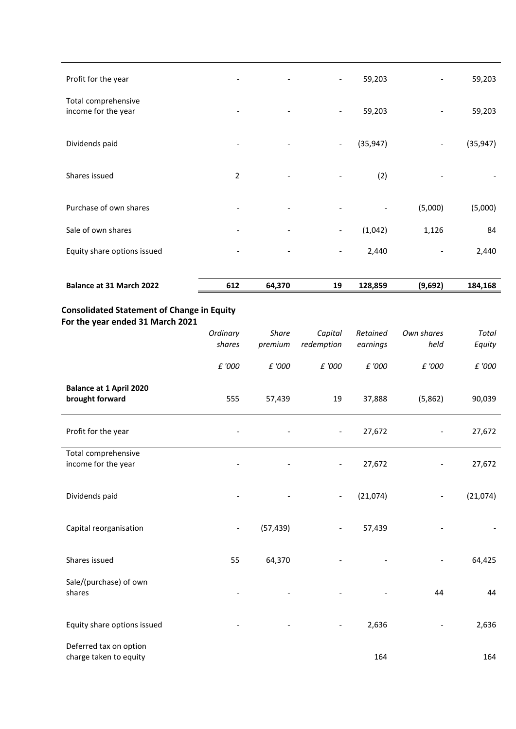| Profit for the year                        |                | $\overline{\phantom{a}}$ | $\overline{\phantom{a}}$     | 59,203    |                          | 59,203    |
|--------------------------------------------|----------------|--------------------------|------------------------------|-----------|--------------------------|-----------|
| Total comprehensive<br>income for the year |                |                          | $\overline{\phantom{a}}$     | 59,203    |                          | 59,203    |
| Dividends paid                             |                | $\overline{\phantom{a}}$ | $\overline{\phantom{a}}$     | (35, 947) | $\overline{\phantom{a}}$ | (35, 947) |
| Shares issued                              | $\overline{2}$ | $\overline{\phantom{a}}$ | -                            | (2)       |                          |           |
| Purchase of own shares                     |                | $\overline{\phantom{a}}$ | $\qquad \qquad \blacksquare$ |           | (5,000)                  | (5,000)   |
| Sale of own shares                         |                |                          | $\overline{\phantom{a}}$     | (1,042)   | 1,126                    | 84        |
| Equity share options issued                |                |                          | $\overline{\phantom{0}}$     | 2,440     |                          | 2,440     |
| Balance at 31 March 2022                   | 612            | 64,370                   | 19                           | 128,859   | (9,692)                  | 184,168   |

# **Consolidated Statement of Change in Equity For the year ended 31 March 2021**

|                                                   | Ordinary                 | <b>Share</b> | Capital                  | Retained | Own shares | Total    |
|---------------------------------------------------|--------------------------|--------------|--------------------------|----------|------------|----------|
|                                                   | shares                   | premium      | redemption               | earnings | held       | Equity   |
|                                                   | £ '000                   | £ '000       | £ '000                   | £ '000   | £ '000     | £ '000   |
| <b>Balance at 1 April 2020</b><br>brought forward | 555                      | 57,439       | 19                       | 37,888   | (5,862)    | 90,039   |
| Profit for the year                               |                          |              | $\overline{\phantom{0}}$ | 27,672   |            | 27,672   |
| Total comprehensive<br>income for the year        |                          |              | $\overline{\phantom{a}}$ | 27,672   |            | 27,672   |
| Dividends paid                                    |                          |              | $\overline{\phantom{0}}$ | (21,074) |            | (21,074) |
| Capital reorganisation                            | $\overline{\phantom{0}}$ | (57, 439)    | $\overline{\phantom{0}}$ | 57,439   |            |          |
| Shares issued                                     | 55                       | 64,370       |                          |          |            | 64,425   |
| Sale/(purchase) of own<br>shares                  |                          |              |                          |          | 44         | 44       |
| Equity share options issued                       |                          |              | $\overline{\phantom{0}}$ | 2,636    |            | 2,636    |
| Deferred tax on option<br>charge taken to equity  |                          |              |                          | 164      |            | 164      |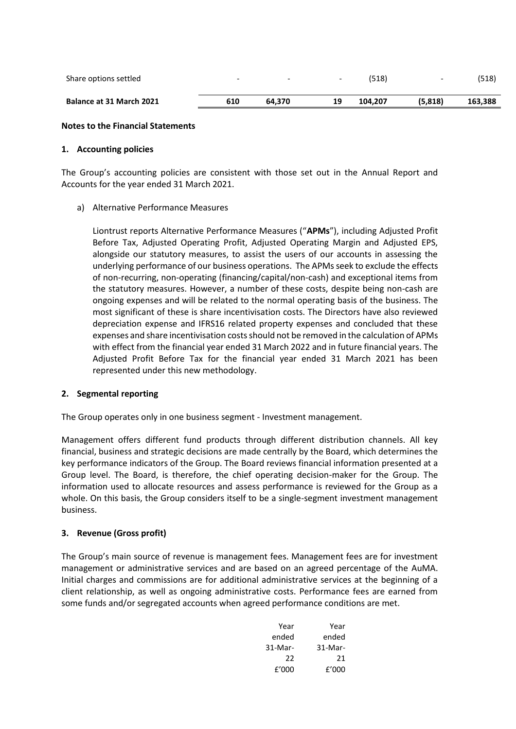| Share options settled    | $\overline{\phantom{0}}$ | $\overline{\phantom{0}}$ | $\overline{\phantom{0}}$ | (518)   | $\overline{\phantom{0}}$ | (518)   |
|--------------------------|--------------------------|--------------------------|--------------------------|---------|--------------------------|---------|
| Balance at 31 March 2021 | 610                      | 64.370                   | 19                       | 104.207 | (5.818)                  | 163,388 |

## **Notes to the Financial Statements**

## **1. Accounting policies**

The Group's accounting policies are consistent with those set out in the Annual Report and Accounts for the year ended 31 March 2021.

a) Alternative Performance Measures

Liontrust reports Alternative Performance Measures ("**APMs**"), including Adjusted Profit Before Tax, Adjusted Operating Profit, Adjusted Operating Margin and Adjusted EPS, alongside our statutory measures, to assist the users of our accounts in assessing the underlying performance of our business operations. The APMs seek to exclude the effects of non-recurring, non-operating (financing/capital/non-cash) and exceptional items from the statutory measures. However, a number of these costs, despite being non-cash are ongoing expenses and will be related to the normal operating basis of the business. The most significant of these is share incentivisation costs. The Directors have also reviewed depreciation expense and IFRS16 related property expenses and concluded that these expenses and share incentivisation costs should not be removed in the calculation of APMs with effect from the financial year ended 31 March 2022 and in future financial years. The Adjusted Profit Before Tax for the financial year ended 31 March 2021 has been represented under this new methodology.

# **2. Segmental reporting**

The Group operates only in one business segment - Investment management.

Management offers different fund products through different distribution channels. All key financial, business and strategic decisions are made centrally by the Board, which determines the key performance indicators of the Group. The Board reviews financial information presented at a Group level. The Board, is therefore, the chief operating decision-maker for the Group. The information used to allocate resources and assess performance is reviewed for the Group as a whole. On this basis, the Group considers itself to be a single-segment investment management business.

# **3. Revenue (Gross profit)**

The Group's main source of revenue is management fees. Management fees are for investment management or administrative services and are based on an agreed percentage of the AuMA. Initial charges and commissions are for additional administrative services at the beginning of a client relationship, as well as ongoing administrative costs. Performance fees are earned from some funds and/or segregated accounts when agreed performance conditions are met.

| Year    | Year    |
|---------|---------|
| ended   | ended   |
| 31-Mar- | 31-Mar- |
| 22      | 21      |
| f'000   | f'000   |
|         |         |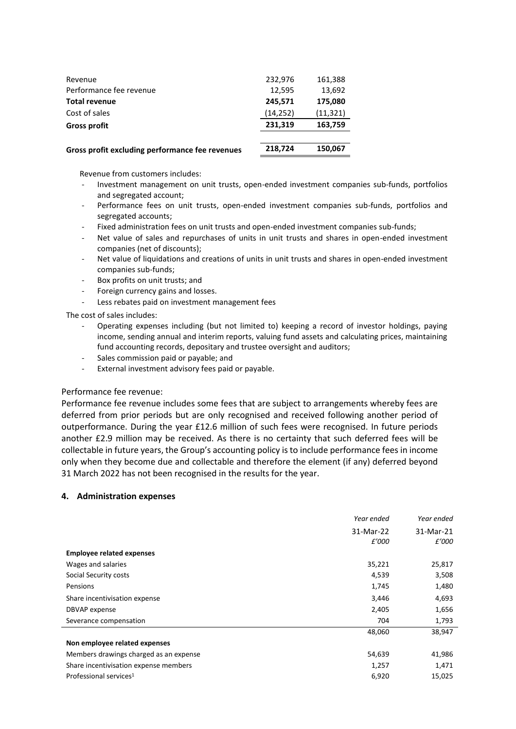| Gross profit excluding performance fee revenues | 218,724  | 150,067   |
|-------------------------------------------------|----------|-----------|
| <b>Gross profit</b>                             | 231,319  | 163,759   |
| Cost of sales                                   | (14,252) | (11, 321) |
| <b>Total revenue</b>                            | 245,571  | 175,080   |
| Performance fee revenue                         | 12,595   | 13,692    |
| Revenue                                         | 232,976  | 161,388   |
|                                                 |          |           |

Revenue from customers includes:

- Investment management on unit trusts, open-ended investment companies sub-funds, portfolios and segregated account;
- Performance fees on unit trusts, open-ended investment companies sub-funds, portfolios and segregated accounts;
- Fixed administration fees on unit trusts and open-ended investment companies sub-funds;
- Net value of sales and repurchases of units in unit trusts and shares in open-ended investment companies (net of discounts);
- Net value of liquidations and creations of units in unit trusts and shares in open-ended investment companies sub-funds;
- Box profits on unit trusts; and
- Foreign currency gains and losses.
- Less rebates paid on investment management fees

The cost of sales includes:

- Operating expenses including (but not limited to) keeping a record of investor holdings, paying income, sending annual and interim reports, valuing fund assets and calculating prices, maintaining fund accounting records, depositary and trustee oversight and auditors;
- Sales commission paid or payable; and
- External investment advisory fees paid or payable.

### Performance fee revenue:

Performance fee revenue includes some fees that are subject to arrangements whereby fees are deferred from prior periods but are only recognised and received following another period of outperformance. During the year £12.6 million of such fees were recognised. In future periods another £2.9 million may be received. As there is no certainty that such deferred fees will be collectable in future years, the Group's accounting policy is to include performance fees in income only when they become due and collectable and therefore the element (if any) deferred beyond 31 March 2022 has not been recognised in the results for the year.

# **4. Administration expenses**

|                                        | Year ended | Year ended |
|----------------------------------------|------------|------------|
|                                        | 31-Mar-22  | 31-Mar-21  |
|                                        | £'000      | £'000      |
| <b>Employee related expenses</b>       |            |            |
| Wages and salaries                     | 35,221     | 25,817     |
| Social Security costs                  | 4,539      | 3,508      |
| Pensions                               | 1,745      | 1,480      |
| Share incentivisation expense          | 3,446      | 4,693      |
| DBVAP expense                          | 2,405      | 1,656      |
| Severance compensation                 | 704        | 1,793      |
|                                        | 48,060     | 38,947     |
| Non employee related expenses          |            |            |
| Members drawings charged as an expense | 54,639     | 41,986     |
| Share incentivisation expense members  | 1,257      | 1,471      |
| Professional services <sup>1</sup>     | 6,920      | 15,025     |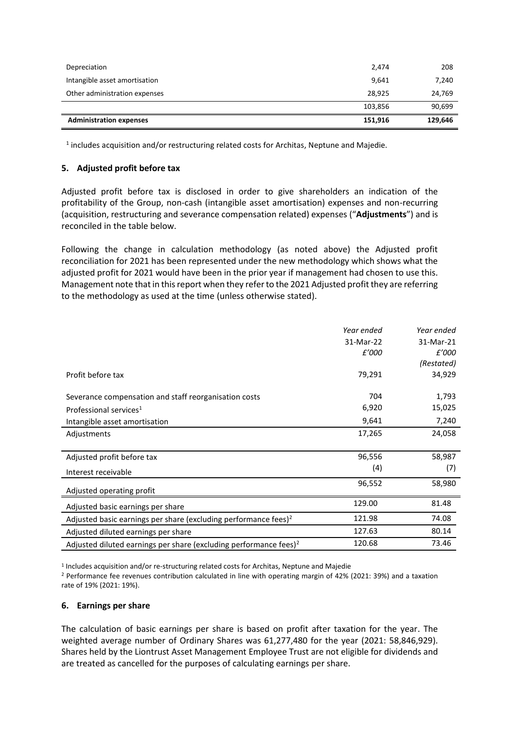| Depreciation                   | 2,474   | 208     |
|--------------------------------|---------|---------|
| Intangible asset amortisation  | 9,641   | 7,240   |
| Other administration expenses  | 28,925  | 24,769  |
|                                | 103,856 | 90,699  |
| <b>Administration expenses</b> | 151,916 | 129.646 |

 $<sup>1</sup>$  includes acquisition and/or restructuring related costs for Architas, Neptune and Majedie.</sup>

# **5. Adjusted profit before tax**

Adjusted profit before tax is disclosed in order to give shareholders an indication of the profitability of the Group, non-cash (intangible asset amortisation) expenses and non-recurring (acquisition, restructuring and severance compensation related) expenses ("**Adjustments**") and is reconciled in the table below.

Following the change in calculation methodology (as noted above) the Adjusted profit reconciliation for 2021 has been represented under the new methodology which shows what the adjusted profit for 2021 would have been in the prior year if management had chosen to use this. Management note that in this report when they refer to the 2021 Adjusted profit they are referring to the methodology as used at the time (unless otherwise stated).

|                                                                               | Year ended | Year ended |
|-------------------------------------------------------------------------------|------------|------------|
|                                                                               | 31-Mar-22  | 31-Mar-21  |
|                                                                               | £'000      | £'000      |
|                                                                               |            | (Restated) |
| Profit before tax                                                             | 79,291     | 34,929     |
|                                                                               |            |            |
| Severance compensation and staff reorganisation costs                         | 704        | 1,793      |
| Professional services <sup>1</sup>                                            | 6,920      | 15,025     |
| Intangible asset amortisation                                                 | 9,641      | 7,240      |
| Adjustments                                                                   | 17,265     | 24,058     |
|                                                                               |            |            |
| Adjusted profit before tax                                                    | 96,556     | 58,987     |
| Interest receivable                                                           | (4)        | (7)        |
| Adjusted operating profit                                                     | 96,552     | 58,980     |
| Adjusted basic earnings per share                                             | 129.00     | 81.48      |
| Adjusted basic earnings per share (excluding performance fees) $2$            | 121.98     | 74.08      |
| Adjusted diluted earnings per share                                           | 127.63     | 80.14      |
| Adjusted diluted earnings per share (excluding performance fees) <sup>2</sup> | 120.68     | 73.46      |

<sup>1</sup> Includes acquisition and/or re-structuring related costs for Architas, Neptune and Majedie

<sup>2</sup> Performance fee revenues contribution calculated in line with operating margin of 42% (2021: 39%) and a taxation rate of 19% (2021: 19%).

# **6. Earnings per share**

The calculation of basic earnings per share is based on profit after taxation for the year. The weighted average number of Ordinary Shares was 61,277,480 for the year (2021: 58,846,929). Shares held by the Liontrust Asset Management Employee Trust are not eligible for dividends and are treated as cancelled for the purposes of calculating earnings per share.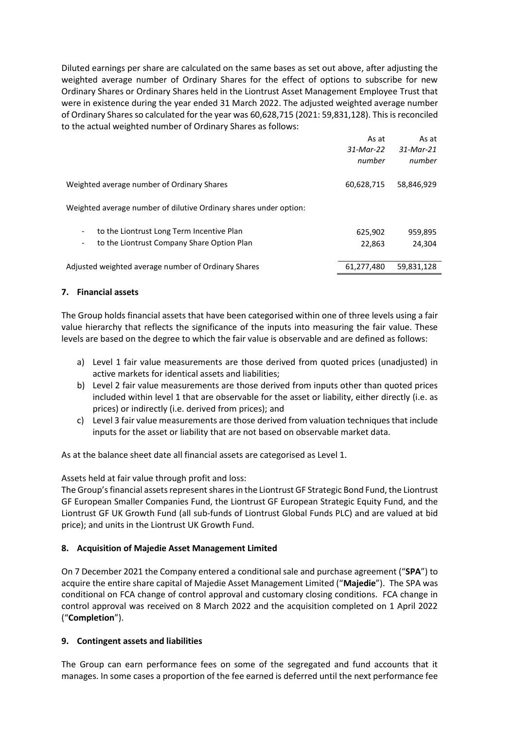Diluted earnings per share are calculated on the same bases as set out above, after adjusting the weighted average number of Ordinary Shares for the effect of options to subscribe for new Ordinary Shares or Ordinary Shares held in the Liontrust Asset Management Employee Trust that were in existence during the year ended 31 March 2022. The adjusted weighted average number of Ordinary Shares so calculated for the year was 60,628,715 (2021: 59,831,128). This is reconciled to the actual weighted number of Ordinary Shares as follows:

|                                                                   | As at<br>31-Mar-22 | As at<br>31-Mar-21 |
|-------------------------------------------------------------------|--------------------|--------------------|
|                                                                   | number             | number             |
| Weighted average number of Ordinary Shares                        | 60,628,715         | 58,846,929         |
| Weighted average number of dilutive Ordinary shares under option: |                    |                    |
| to the Liontrust Long Term Incentive Plan                         | 625,902            | 959,895            |
| to the Liontrust Company Share Option Plan                        | 22,863             | 24.304             |
| Adjusted weighted average number of Ordinary Shares               | 61,277,480         | 59,831,128         |

# **7. Financial assets**

The Group holds financial assets that have been categorised within one of three levels using a fair value hierarchy that reflects the significance of the inputs into measuring the fair value. These levels are based on the degree to which the fair value is observable and are defined as follows:

- a) Level 1 fair value measurements are those derived from quoted prices (unadjusted) in active markets for identical assets and liabilities;
- b) Level 2 fair value measurements are those derived from inputs other than quoted prices included within level 1 that are observable for the asset or liability, either directly (i.e. as prices) or indirectly (i.e. derived from prices); and
- c) Level 3 fair value measurements are those derived from valuation techniques that include inputs for the asset or liability that are not based on observable market data.

As at the balance sheet date all financial assets are categorised as Level 1.

Assets held at fair value through profit and loss:

The Group's financial assets represent shares in the Liontrust GF Strategic Bond Fund, the Liontrust GF European Smaller Companies Fund, the Liontrust GF European Strategic Equity Fund, and the Liontrust GF UK Growth Fund (all sub-funds of Liontrust Global Funds PLC) and are valued at bid price); and units in the Liontrust UK Growth Fund.

# **8. Acquisition of Majedie Asset Management Limited**

On 7 December 2021 the Company entered a conditional sale and purchase agreement ("**SPA**") to acquire the entire share capital of Majedie Asset Management Limited ("**Majedie**"). The SPA was conditional on FCA change of control approval and customary closing conditions. FCA change in control approval was received on 8 March 2022 and the acquisition completed on 1 April 2022 ("**Completion**").

# **9. Contingent assets and liabilities**

The Group can earn performance fees on some of the segregated and fund accounts that it manages. In some cases a proportion of the fee earned is deferred until the next performance fee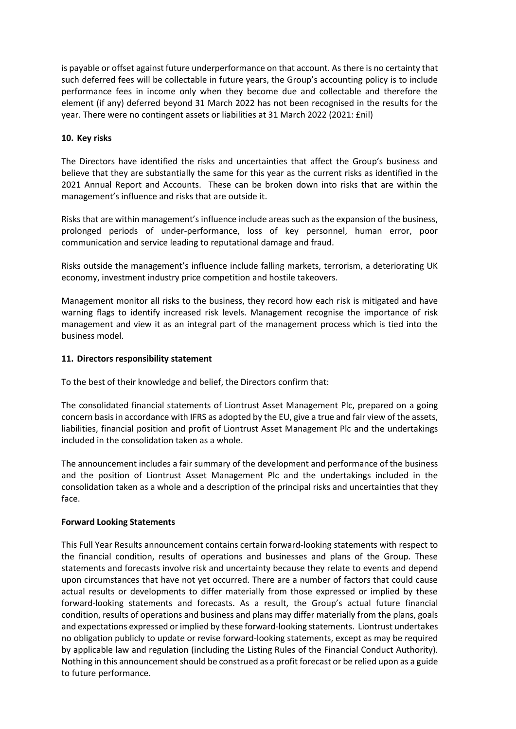is payable or offset against future underperformance on that account. As there is no certainty that such deferred fees will be collectable in future years, the Group's accounting policy is to include performance fees in income only when they become due and collectable and therefore the element (if any) deferred beyond 31 March 2022 has not been recognised in the results for the year. There were no contingent assets or liabilities at 31 March 2022 (2021: £nil)

# **10. Key risks**

The Directors have identified the risks and uncertainties that affect the Group's business and believe that they are substantially the same for this year as the current risks as identified in the 2021 Annual Report and Accounts. These can be broken down into risks that are within the management's influence and risks that are outside it.

Risks that are within management's influence include areas such as the expansion of the business, prolonged periods of under-performance, loss of key personnel, human error, poor communication and service leading to reputational damage and fraud.

Risks outside the management's influence include falling markets, terrorism, a deteriorating UK economy, investment industry price competition and hostile takeovers.

Management monitor all risks to the business, they record how each risk is mitigated and have warning flags to identify increased risk levels. Management recognise the importance of risk management and view it as an integral part of the management process which is tied into the business model.

# **11. Directors responsibility statement**

To the best of their knowledge and belief, the Directors confirm that:

The consolidated financial statements of Liontrust Asset Management Plc, prepared on a going concern basisin accordance with IFRS as adopted by the EU, give a true and fair view of the assets, liabilities, financial position and profit of Liontrust Asset Management Plc and the undertakings included in the consolidation taken as a whole.

The announcement includes a fair summary of the development and performance of the business and the position of Liontrust Asset Management Plc and the undertakings included in the consolidation taken as a whole and a description of the principal risks and uncertainties that they face.

# **Forward Looking Statements**

This Full Year Results announcement contains certain forward-looking statements with respect to the financial condition, results of operations and businesses and plans of the Group. These statements and forecasts involve risk and uncertainty because they relate to events and depend upon circumstances that have not yet occurred. There are a number of factors that could cause actual results or developments to differ materially from those expressed or implied by these forward-looking statements and forecasts. As a result, the Group's actual future financial condition, results of operations and business and plans may differ materially from the plans, goals and expectations expressed or implied by these forward-looking statements. Liontrust undertakes no obligation publicly to update or revise forward-looking statements, except as may be required by applicable law and regulation (including the Listing Rules of the Financial Conduct Authority). Nothing in this announcement should be construed as a profit forecast or be relied upon as a guide to future performance.